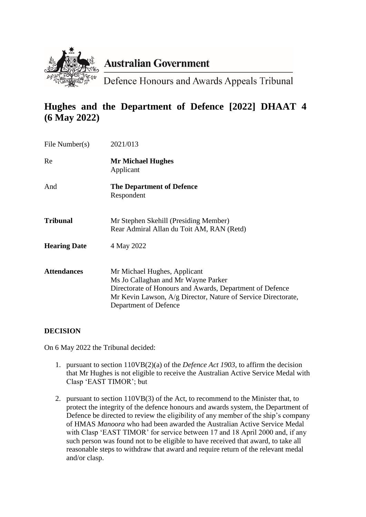

# **Australian Government**

Defence Honours and Awards Appeals Tribunal

# **Hughes and the Department of Defence [2022] DHAAT 4 (6 May 2022)**

| File Number(s)      | 2021/013                                                                                                                                                                                                                  |
|---------------------|---------------------------------------------------------------------------------------------------------------------------------------------------------------------------------------------------------------------------|
| Re                  | <b>Mr Michael Hughes</b><br>Applicant                                                                                                                                                                                     |
| And                 | <b>The Department of Defence</b><br>Respondent                                                                                                                                                                            |
| Tribunal            | Mr Stephen Skehill (Presiding Member)<br>Rear Admiral Allan du Toit AM, RAN (Retd)                                                                                                                                        |
| <b>Hearing Date</b> | 4 May 2022                                                                                                                                                                                                                |
| <b>Attendances</b>  | Mr Michael Hughes, Applicant<br>Ms Jo Callaghan and Mr Wayne Parker<br>Directorate of Honours and Awards, Department of Defence<br>Mr Kevin Lawson, A/g Director, Nature of Service Directorate,<br>Department of Defence |

# **DECISION**

On 6 May 2022 the Tribunal decided:

- 1. pursuant to section 110VB(2)(a) of the *Defence Act 1903*, to affirm the decision that Mr Hughes is not eligible to receive the Australian Active Service Medal with Clasp 'EAST TIMOR'; but
- 2. pursuant to section 110VB(3) of the Act, to recommend to the Minister that, to protect the integrity of the defence honours and awards system, the Department of Defence be directed to review the eligibility of any member of the ship's company of HMAS *Manoora* who had been awarded the Australian Active Service Medal with Clasp 'EAST TIMOR' for service between 17 and 18 April 2000 and, if any such person was found not to be eligible to have received that award, to take all reasonable steps to withdraw that award and require return of the relevant medal and/or clasp.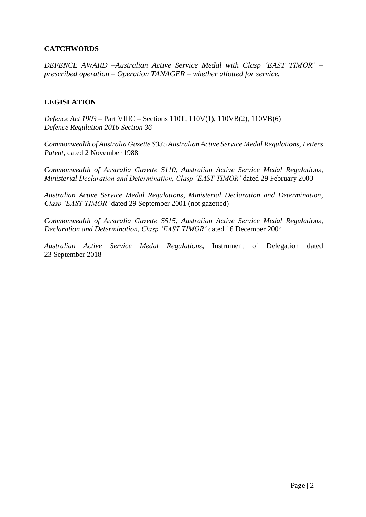# **CATCHWORDS**

*DEFENCE AWARD –Australian Active Service Medal with Clasp 'EAST TIMOR' – prescribed operation – Operation TANAGER – whether allotted for service.*

#### **LEGISLATION**

*Defence Act 1903 –* Part VIIIC – Sections 110T, 110V(1), 110VB(2), 110VB(6) *Defence Regulation 2016 Section 36*

*Commonwealth of Australia Gazette S33*5 *Australian Active Service Medal Regulations, Letters Patent,* dated 2 November 1988

*Commonwealth of Australia Gazette S110*, *Australian Active Service Medal Regulations, Ministerial Declaration and Determination, Clasp 'EAST TIMOR'* dated 29 February 2000

*Australian Active Service Medal Regulations, Ministerial Declaration and Determination, Clasp 'EAST TIMOR'* dated 29 September 2001 (not gazetted)

*Commonwealth of Australia Gazette S515*, *Australian Active Service Medal Regulations, Declaration and Determination, Clasp 'EAST TIMOR'* dated 16 December 2004

*Australian Active Service Medal Regulations*, Instrument of Delegation dated 23 September 2018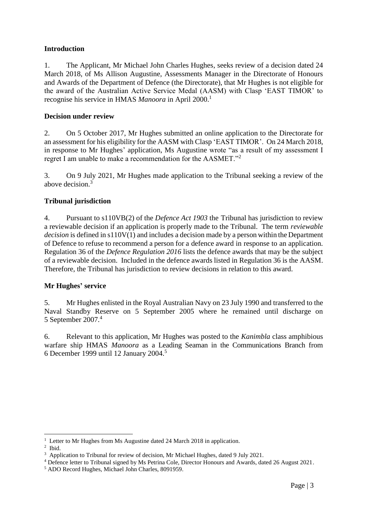#### **Introduction**

1. The Applicant, Mr Michael John Charles Hughes, seeks review of a decision dated 24 March 2018, of Ms Allison Augustine, Assessments Manager in the Directorate of Honours and Awards of the Department of Defence (the Directorate), that Mr Hughes is not eligible for the award of the Australian Active Service Medal (AASM) with Clasp 'EAST TIMOR' to recognise his service in HMAS *Manoora* in April 2000.<sup>1</sup>

#### **Decision under review**

2. On 5 October 2017, Mr Hughes submitted an online application to the Directorate for an assessment for his eligibility for the AASM with Clasp 'EAST TIMOR'. On 24 March 2018, in response to Mr Hughes' application, Ms Augustine wrote "as a result of my assessment I regret I am unable to make a recommendation for the AASMET."<sup>2</sup>

3. On 9 July 2021, Mr Hughes made application to the Tribunal seeking a review of the above decision.<sup>3</sup>

# **Tribunal jurisdiction**

4. Pursuant to s110VB(2) of the *Defence Act 1903* the Tribunal has jurisdiction to review a reviewable decision if an application is properly made to the Tribunal. The term *reviewable decision* is defined in s110V(1) and includes a decision made by a person within the Department of Defence to refuse to recommend a person for a defence award in response to an application. Regulation 36 of the *Defence Regulation 2016* lists the defence awards that may be the subject of a reviewable decision. Included in the defence awards listed in Regulation 36 is the AASM. Therefore, the Tribunal has jurisdiction to review decisions in relation to this award.

#### **Mr Hughes' service**

5. Mr Hughes enlisted in the Royal Australian Navy on 23 July 1990 and transferred to the Naval Standby Reserve on 5 September 2005 where he remained until discharge on 5 September 2007. 4

6. Relevant to this application, Mr Hughes was posted to the *Kanimbla* class amphibious warfare ship HMAS *Manoora* as a Leading Seaman in the Communications Branch from 6 December 1999 until 12 January 2004. 5

1

<sup>&</sup>lt;sup>1</sup> Letter to Mr Hughes from Ms Augustine dated 24 March 2018 in application.

<sup>2</sup> Ibid.

<sup>&</sup>lt;sup>3</sup> Application to Tribunal for review of decision, Mr Michael Hughes, dated 9 July 2021.

<sup>4</sup> Defence letter to Tribunal signed by Ms Petrina Cole, Director Honours and Awards, dated 26 August 2021.

<sup>5</sup> ADO Record Hughes, Michael John Charles, 8091959.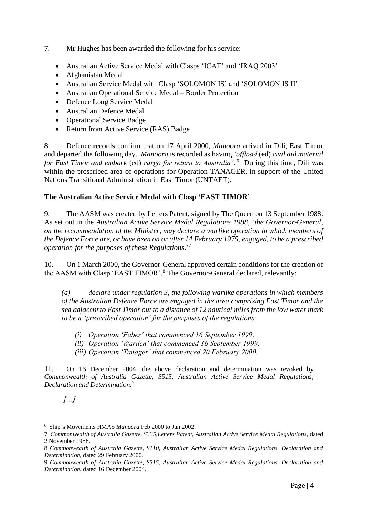- 7. Mr Hughes has been awarded the following for his service:
	- Australian Active Service Medal with Clasps 'ICAT' and 'IRAQ 2003'
	- Afghanistan Medal
	- Australian Service Medal with Clasp 'SOLOMON IS' and 'SOLOMON IS II'
	- Australian Operational Service Medal Border Protection
	- Defence Long Service Medal
	- Australian Defence Medal
	- Operational Service Badge
	- Return from Active Service (RAS) Badge

8. Defence records confirm that on 17 April 2000, *Manoora* arrived in Dili, East Timor and departed the following day. *Manoora* is recorded as having *'offload* (ed) *civil aid material for East Timor and embark* (ed) *cargo for return to Australia'*. 6 During this time, Dili was within the prescribed area of operations for Operation TANAGER, in support of the United Nations Transitional Administration in East Timor (UNTAET).

#### **The Australian Active Service Medal with Clasp 'EAST TIMOR'**

9. The AASM was created by Letters Patent, signed by The Queen on 13 September 1988. As set out in the *Australian Active Service Medal Regulations 1988*, '*the Governor-General, on the recommendation of the Minister, may declare a warlike operation in which members of the Defence Force are, or have been on or after 14 February 1975, engaged, to be a prescribed operation for the purposes of these Regulations*.' 7

10. On 1 March 2000, the Governor-General approved certain conditions for the creation of the AASM with Clasp 'EAST TIMOR'. <sup>8</sup> The Governor-General declared, relevantly:

*(a) declare under regulation 3, the following warlike operations in which members of the Australian Defence Force are engaged in the area comprising East Timor and the sea adjacent to East Timor out to a distance of 12 nautical miles from the low water mark to be a 'prescribed operation' for the purposes of the regulations:*

- *(i) Operation 'Faber' that commenced 16 September 1999;*
- *(ii) Operation 'Warden' that commenced 16 September 1999;*
- *(iii) Operation 'Tanager' that commenced 20 February 2000.*

11. On 16 December 2004, the above declaration and determination was revoked by *Commonwealth of Australia Gazette, S515, Australian Active Service Medal Regulations, Declaration and Determination.<sup>9</sup>*

*[…]*

<sup>1</sup> 6 Ship's Movements HMAS *Manoora* Feb 2000 to Jun 2002.

<sup>7</sup> *Commonwealth of Australia Gazette, S335,Letters Patent, Australian Active Service Medal Regulations*, dated 2 November 1988.

<sup>8</sup> *Commonwealth of Australia Gazette, S110, Australian Active Service Medal Regulations, Declaration and Determination,* dated 29 February 2000.

<sup>9</sup> *Commonwealth of Australia Gazette, S515, Australian Active Service Medal Regulations, Declaration and Determination,* dated 16 December 2004.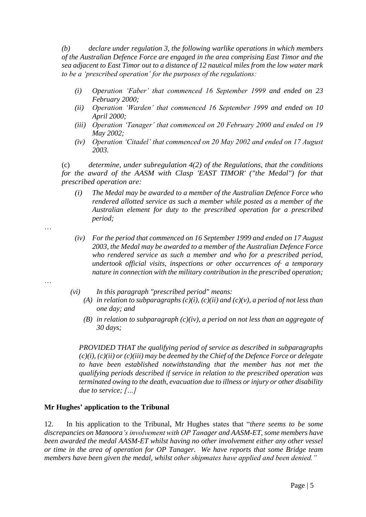*(b) declare under regulation 3, the following warlike operations in which members of the Australian Defence Force are engaged in the area comprising East Timor and the sea adjacent to East Timor out to a distance of 12 nautical miles from the low water mark to be a 'prescribed operation' for the purposes of the regulations:*

- *(i) Operation 'Faber' that commenced 16 September 1999 and ended on 23 February 2000;*
- *(ii) Operation 'Warden' that commenced 16 September 1999 and ended on 10 April 2000;*
- *(iii) Operation 'Tanager' that commenced on 20 February 2000 and ended on 19 May 2002;*
- *(iv) Operation 'Citadel' that commenced on 20 May 2002 and ended on 17 August 2003.*

(c) *determine, under subregulation 4(2) of the Regulations, that the conditions for the award of the AASM with Clasp 'EAST TIMOR' ("the Medal") for that prescribed operation are:*

- *(i) The Medal may be awarded to a member of the Australian Defence Force who rendered allotted service as such a member while posted as a member of the Australian element for duty to the prescribed operation for a prescribed period;*
- *(iv) For the period that commenced on 16 September 1999 and ended on 17 August 2003, the Medal may be awarded to a member of the Australian Defence Force who rendered service as such a member and who for a prescribed period, undertook official visits, inspections or other occurrences of· a temporary nature in connection with the military contribution in the prescribed operation;*
- …

…

- *(vi) In this paragraph "prescribed period" means:*
	- (A) *in relation to subparagraphs*  $(c)(i)$ ,  $(c)(ii)$  *and*  $(c)(v)$ *, a period of not less than one day; and*
	- *(B) in relation to subparagraph*  $(c)(iv)$ *, a period on not less than an aggregate of 30 days;*

*PROVIDED THAT the qualifying period of service as described in subparagraphs (c)(i), (c)(ii) or (c)(iii) may be deemed by the Chief of the Defence Force or delegate to have been established notwithstanding that the member has not met the qualifying periods described if service in relation to the prescribed operation was terminated owing to the death, evacuation due to illness or injury or other disability due to service; […]*

#### **Mr Hughes' application to the Tribunal**

12. In his application to the Tribunal, Mr Hughes states that "*there seems to be some discrepancies on Manoora's involvement with OP Tanager and AASM-ET, some members have been awarded the medal AASM-ET whilst having no other involvement either any other vessel or time in the area of operation for OP Tanager. We have reports that some Bridge team members have been given the medal, whilst other shipmates have applied and been denied."*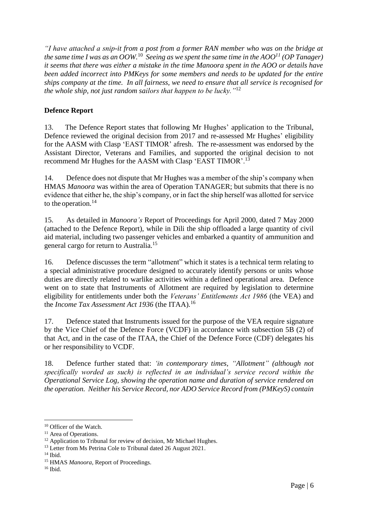*"I have attached a snip-it from a post from a former RAN member who was on the bridge at*  the same time I was as an  $OOW$ .<sup>10</sup> Seeing as we spent the same time in the AOO<sup>11</sup> (OP Tanager) *it seems that there was either a mistake in the time Manoora spent in the AOO or details have been added incorrect into PMKeys for some members and needs to be updated for the entire ships company at the time. In all fairness, we need to ensure that all service is recognised for the whole ship, not just random sailors that happen to be lucky."*<sup>12</sup>

### **Defence Report**

13. The Defence Report states that following Mr Hughes' application to the Tribunal, Defence reviewed the original decision from 2017 and re-assessed Mr Hughes' eligibility for the AASM with Clasp 'EAST TIMOR' afresh. The re-assessment was endorsed by the Assistant Director, Veterans and Families, and supported the original decision to not recommend Mr Hughes for the AASM with Clasp 'EAST TIMOR'.<sup>13</sup>

14. Defence does not dispute that Mr Hughes was a member of the ship's company when HMAS *Manoora* was within the area of Operation TANAGER; but submits that there is no evidence that either he, the ship's company, or in fact the ship herself was allotted for service to the operation. $^{14}$ 

15. As detailed in *Manoora's* Report of Proceedings for April 2000, dated 7 May 2000 (attached to the Defence Report), while in Dili the ship offloaded a large quantity of civil aid material, including two passenger vehicles and embarked a quantity of ammunition and general cargo for return to Australia.<sup>15</sup>

16. Defence discusses the term "allotment" which it states is a technical term relating to a special administrative procedure designed to accurately identify persons or units whose duties are directly related to warlike activities within a defined operational area. Defence went on to state that Instruments of Allotment are required by legislation to determine eligibility for entitlements under both the *Veterans' Entitlements Act 1986* (the VEA) and the *Income Tax Assessment Act 1936* (the ITAA)*.* 16

17. Defence stated that Instruments issued for the purpose of the VEA require signature by the Vice Chief of the Defence Force (VCDF) in accordance with subsection 5B (2) of that Act, and in the case of the ITAA, the Chief of the Defence Force (CDF) delegates his or her responsibility to VCDF.

18. Defence further stated that: *'in contemporary times, "Allotment" (although not specifically worded as such) is reflected in an individual's service record within the Operational Service Log, showing the operation name and duration of service rendered on the operation. Neither his Service Record, nor ADO Service Record from (PMKeyS) contain* 

1

<sup>&</sup>lt;sup>10</sup> Officer of the Watch.

<sup>&</sup>lt;sup>11</sup> Area of Operations.

<sup>&</sup>lt;sup>12</sup> Application to Tribunal for review of decision, Mr Michael Hughes.

<sup>&</sup>lt;sup>13</sup> Letter from Ms Petrina Cole to Tribunal dated 26 August 2021.

<sup>14</sup> Ibid.

<sup>&</sup>lt;sup>15</sup> HMAS *Manoora*, Report of Proceedings.

 $16$  Ibid.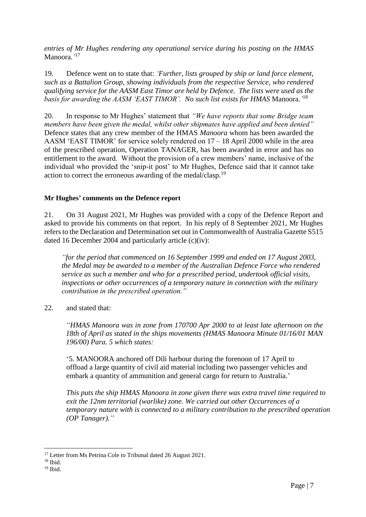*entries of Mr Hughes rendering any operational service during his posting on the HMAS* Manoora*.'* 17

19. Defence went on to state that: *'Further, lists grouped by ship or land force element, such as a Battalion Group, showing individuals from the respective Service, who rendered qualifying service for the AASM East Timor are held by Defence. The lists were used as the basis for awarding the AASM 'EAST TIMOR'. No such list exists for HMAS* Manoora.*'* 18

20. In response to Mr Hughes' statement that *"We have reports that some Bridge team members have been given the medal, whilst other shipmates have applied and been denied"*  Defence states that any crew member of the HMAS *Manoora* whom has been awarded the AASM 'EAST TIMOR' for service solely rendered on 17 – 18 April 2000 while in the area of the prescribed operation, Operation TANAGER, has been awarded in error and has no entitlement to the award. Without the provision of a crew members' name, inclusive of the individual who provided the 'snip-it post' to Mr Hughes, Defence said that it cannot take action to correct the erroneous awarding of the medal/clasp.<sup>19</sup>

#### **Mr Hughes' comments on the Defence report**

21. On 31 August 2021, Mr Hughes was provided with a copy of the Defence Report and asked to provide his comments on that report. In his reply of 8 September 2021, Mr Hughes refers to the Declaration and Determination set out in Commonwealth of Australia Gazette S515 dated 16 December 2004 and particularly article (c)(iv):

*"for the period that commenced on 16 September 1999 and ended on 17 August 2003, the Medal may be awarded to a member of the Australian Defence Force who rendered service as such a member and who for a prescribed period, undertook official visits, inspections or other occurrences of a temporary nature in connection with the military contribution in the prescribed operation."*

22. and stated that:

*"HMAS Manoora was in zone from 170700 Apr 2000 to at least late afternoon on the 18th of April as stated in the ships movements (HMAS Manoora Minute 01/16/01 MAN 196/00) Para. 5 which states:*

'5. MANOORA anchored off Dili harbour during the forenoon of 17 April to offload a large quantity of civil aid material including two passenger vehicles and embark a quantity of ammunition and general cargo for return to Australia.'

*This puts the ship HMAS Manoora in zone given there was extra travel time required to exit the 12nm territorial (warlike) zone. We carried out other Occurrences of a temporary nature with is connected to a military contribution to the prescribed operation (OP Tanager)."*

1

<sup>&</sup>lt;sup>17</sup> Letter from Ms Petrina Cole to Tribunal dated 26 August 2021.

 $18$  Ibid.

<sup>19</sup> Ibid.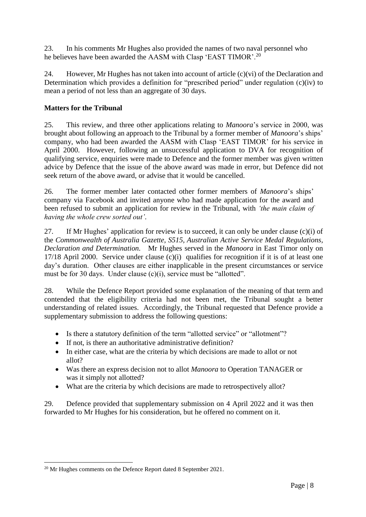23. In his comments Mr Hughes also provided the names of two naval personnel who he believes have been awarded the AASM with Clasp 'EAST TIMOR'.<sup>20</sup>

24. However, Mr Hughes has not taken into account of article (c)(vi) of the Declaration and Determination which provides a definition for "prescribed period" under regulation (c)(iv) to mean a period of not less than an aggregate of 30 days.

# **Matters for the Tribunal**

25. This review, and three other applications relating to *Manoora*'s service in 2000, was brought about following an approach to the Tribunal by a former member of *Manoora*'s ships' company, who had been awarded the AASM with Clasp 'EAST TIMOR' for his service in April 2000. However, following an unsuccessful application to DVA for recognition of qualifying service, enquiries were made to Defence and the former member was given written advice by Defence that the issue of the above award was made in error, but Defence did not seek return of the above award, or advise that it would be cancelled.

26. The former member later contacted other former members of *Manoora*'s ships' company via Facebook and invited anyone who had made application for the award and been refused to submit an application for review in the Tribunal, with *'the main claim of having the whole crew sorted out'*.

27. If Mr Hughes' application for review is to succeed, it can only be under clause (c)(i) of the *Commonwealth of Australia Gazette, S515, Australian Active Service Medal Regulations, Declaration and Determination.* Mr Hughes served in the *Manoora* in East Timor only on 17/18 April 2000. Service under clause (c)(i) qualifies for recognition if it is of at least one day's duration. Other clauses are either inapplicable in the present circumstances or service must be for 30 days. Under clause (c)(i), service must be "allotted".

28. While the Defence Report provided some explanation of the meaning of that term and contended that the eligibility criteria had not been met, the Tribunal sought a better understanding of related issues. Accordingly, the Tribunal requested that Defence provide a supplementary submission to address the following questions:

- Is there a statutory definition of the term "allotted service" or "allotment"?
- If not, is there an authoritative administrative definition?
- In either case, what are the criteria by which decisions are made to allot or not allot?
- Was there an express decision not to allot *Manoora* to Operation TANAGER or was it simply not allotted?
- What are the criteria by which decisions are made to retrospectively allot?

29. Defence provided that supplementary submission on 4 April 2022 and it was then forwarded to Mr Hughes for his consideration, but he offered no comment on it.

<sup>&</sup>lt;u>.</u> <sup>20</sup> Mr Hughes comments on the Defence Report dated 8 September 2021.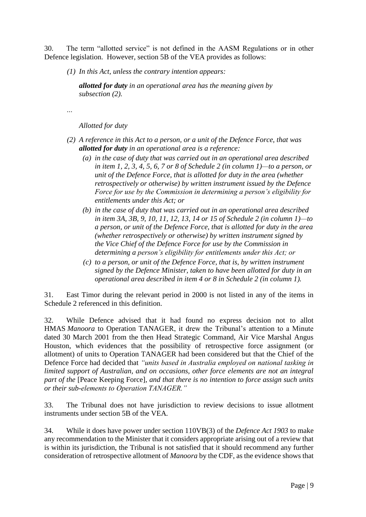30. The term "allotted service" is not defined in the AASM Regulations or in other Defence legislation. However, section 5B of the VEA provides as follows:

*(1) In this Act, unless the contrary intention appears:*

*allotted for duty in an operational area has the meaning given by subsection (2).*

*…*

*Allotted for duty*

- *(2) A reference in this Act to a person, or a unit of the Defence Force, that was allotted for duty in an operational area is a reference:*
	- *(a) in the case of duty that was carried out in an operational area described in item 1, 2, 3, 4, 5, 6, 7 or 8 of Schedule 2 (in column 1)—to a person, or unit of the Defence Force, that is allotted for duty in the area (whether retrospectively or otherwise) by written instrument issued by the Defence Force for use by the Commission in determining a person's eligibility for entitlements under this Act; or*
	- *(b) in the case of duty that was carried out in an operational area described in item 3A, 3B, 9, 10, 11, 12, 13, 14 or 15 of Schedule 2 (in column 1)—to a person, or unit of the Defence Force, that is allotted for duty in the area (whether retrospectively or otherwise) by written instrument signed by the Vice Chief of the Defence Force for use by the Commission in determining a person's eligibility for entitlements under this Act; or*
	- *(c) to a person, or unit of the Defence Force, that is, by written instrument signed by the Defence Minister, taken to have been allotted for duty in an operational area described in item 4 or 8 in Schedule 2 (in column 1).*

31. East Timor during the relevant period in 2000 is not listed in any of the items in Schedule 2 referenced in this definition.

32. While Defence advised that it had found no express decision not to allot HMAS *Manoora* to Operation TANAGER, it drew the Tribunal's attention to a Minute dated 30 March 2001 from the then Head Strategic Command, Air Vice Marshal Angus Houston, which evidences that the possibility of retrospective force assignment (or allotment) of units to Operation TANAGER had been considered but that the Chief of the Defence Force had decided that *"units based in Australia employed on national tasking in limited support of Australian, and on occasions, other force elements are not an integral part of the* [Peace Keeping Force]*, and that there is no intention to force assign such units or their sub-elements to Operation TANAGER."*

33. The Tribunal does not have jurisdiction to review decisions to issue allotment instruments under section 5B of the VEA*.* 

34. While it does have power under section 110VB(3) of the *Defence Act 1903* to make any recommendation to the Minister that it considers appropriate arising out of a review that is within its jurisdiction, the Tribunal is not satisfied that it should recommend any further consideration of retrospective allotment of *Manoora* by the CDF, as the evidence shows that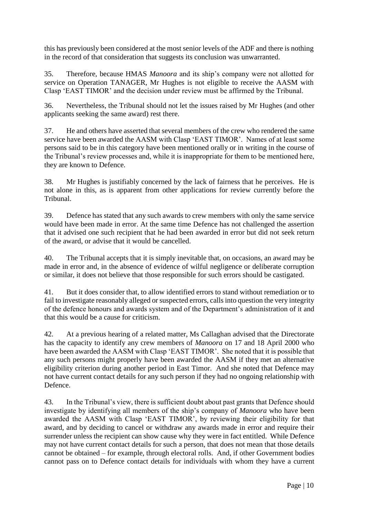this has previously been considered at the most senior levels of the ADF and there is nothing in the record of that consideration that suggests its conclusion was unwarranted.

35. Therefore, because HMAS *Manoora* and its ship's company were not allotted for service on Operation TANAGER, Mr Hughes is not eligible to receive the AASM with Clasp 'EAST TIMOR' and the decision under review must be affirmed by the Tribunal.

36. Nevertheless, the Tribunal should not let the issues raised by Mr Hughes (and other applicants seeking the same award) rest there.

37. He and others have asserted that several members of the crew who rendered the same service have been awarded the AASM with Clasp 'EAST TIMOR'. Names of at least some persons said to be in this category have been mentioned orally or in writing in the course of the Tribunal's review processes and, while it is inappropriate for them to be mentioned here, they are known to Defence.

38. Mr Hughes is justifiably concerned by the lack of fairness that he perceives. He is not alone in this, as is apparent from other applications for review currently before the Tribunal.

39. Defence has stated that any such awards to crew members with only the same service would have been made in error. At the same time Defence has not challenged the assertion that it advised one such recipient that he had been awarded in error but did not seek return of the award, or advise that it would be cancelled.

40. The Tribunal accepts that it is simply inevitable that, on occasions, an award may be made in error and, in the absence of evidence of wilful negligence or deliberate corruption or similar, it does not believe that those responsible for such errors should be castigated.

41. But it does consider that, to allow identified errors to stand without remediation or to fail to investigate reasonably alleged or suspected errors, calls into question the very integrity of the defence honours and awards system and of the Department's administration of it and that this would be a cause for criticism.

42. At a previous hearing of a related matter, Ms Callaghan advised that the Directorate has the capacity to identify any crew members of *Manoora* on 17 and 18 April 2000 who have been awarded the AASM with Clasp 'EAST TIMOR'. She noted that it is possible that any such persons might properly have been awarded the AASM if they met an alternative eligibility criterion during another period in East Timor. And she noted that Defence may not have current contact details for any such person if they had no ongoing relationship with Defence.

43. In the Tribunal's view, there is sufficient doubt about past grants that Defence should investigate by identifying all members of the ship's company of *Manoora* who have been awarded the AASM with Clasp 'EAST TIMOR', by reviewing their eligibility for that award, and by deciding to cancel or withdraw any awards made in error and require their surrender unless the recipient can show cause why they were in fact entitled. While Defence may not have current contact details for such a person, that does not mean that those details cannot be obtained – for example, through electoral rolls. And, if other Government bodies cannot pass on to Defence contact details for individuals with whom they have a current